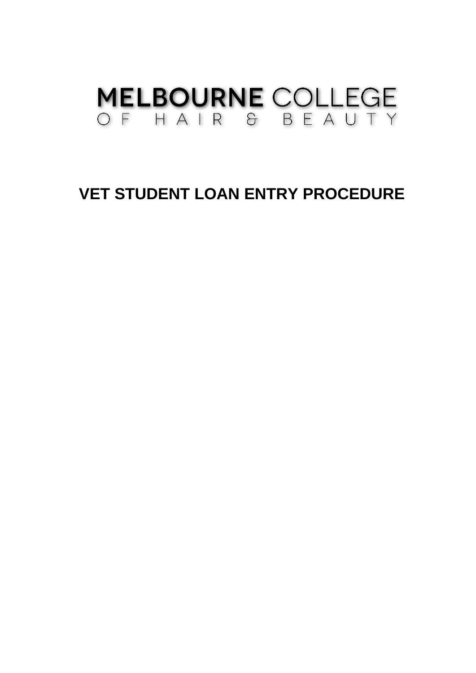# **MELBOURNE COLLEGE** OF HAIR & BEAUTY

# **VET STUDENT LOAN ENTRY PROCEDURE**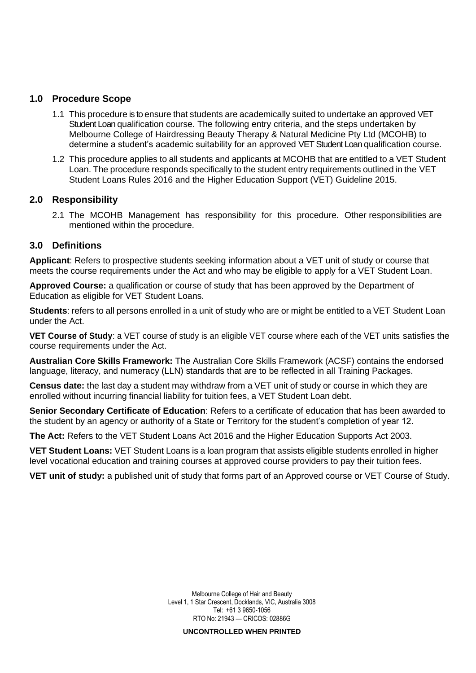#### **1.0 Procedure Scope**

- 1.1 This procedure is to ensure that students are academically suited to undertake an approved VET Student Loan qualification course. The following entry criteria, and the steps undertaken by Melbourne College of Hairdressing Beauty Therapy & Natural Medicine Pty Ltd (MCOHB) to determine a student's academic suitability for an approved VET Student Loan qualification course.
- 1.2 This procedure applies to all students and applicants at MCOHB that are entitled to a VET Student Loan. The procedure responds specifically to the student entry requirements outlined in the VET Student Loans Rules 2016 and the Higher Education Support (VET) Guideline 2015.

#### **2.0 Responsibility**

2.1 The MCOHB Management has responsibility for this procedure. Other responsibilities are mentioned within the procedure.

### **3.0 Definitions**

**Applicant**: Refers to prospective students seeking information about a VET unit of study or course that meets the course requirements under the Act and who may be eligible to apply for a VET Student Loan.

**Approved Course:** a qualification or course of study that has been approved by the Department of Education as eligible for VET Student Loans.

**Students**: refers to all persons enrolled in a unit of study who are or might be entitled to a VET Student Loan under the Act.

**VET Course of Study**: a VET course of study is an eligible VET course where each of the VET units satisfies the course requirements under the Act.

**Australian Core Skills Framework:** The Australian Core Skills Framework (ACSF) contains the endorsed language, literacy, and numeracy (LLN) standards that are to be reflected in all Training Packages.

**Census date:** the last day a student may withdraw from a VET unit of study or course in which they are enrolled without incurring financial liability for tuition fees, a VET Student Loan debt.

**Senior Secondary Certificate of Education**: Refers to a certificate of education that has been awarded to the student by an agency or authority of a State or Territory for the student's completion of year 12.

**The Act:** Refers to the VET Student Loans Act 2016 and the Higher Education Supports Act 2003.

**VET Student Loans:** VET Student Loans is a loan program that assists eligible students enrolled in higher level vocational education and training courses at approved course providers to pay their tuition fees.

**VET unit of study:** a published unit of study that forms part of an Approved course or VET Course of Study.

Melbourne College of Hair and Beauty Level 1, 1 Star Crescent, Docklands, VIC, Australia 3008 Tel: +61 3 9650-1056 RTO No: 21943 — CRICOS: 02886G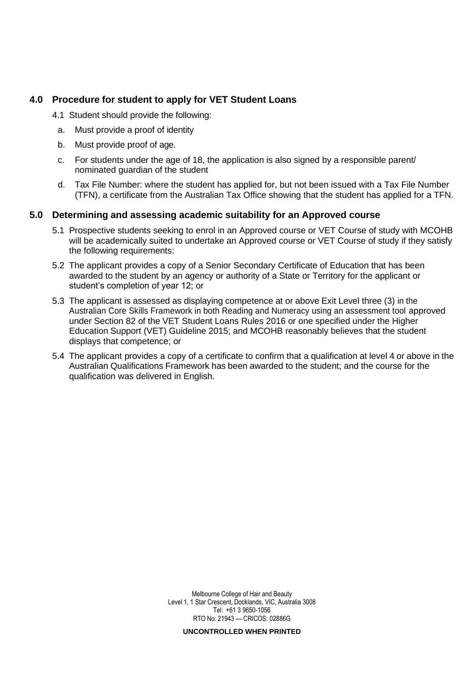## **4.0 Procedure for student to apply for VET Student Loans**

4.1 Student should provide the following:

- a. Must provide a proof of identity
- b. Must provide proof of age.
- c. For students under the age of 18, the application is also signed by a responsible parent/ nominated guardian of the student
- d. Tax File Number: where the student has applied for, but not been issued with a Tax File Number (TFN), a certificate from the Australian Tax Office showing that the student has applied for a TFN.

#### **5.0 Determining and assessing academic suitability for an Approved course**

- 5.1 Prospective students seeking to enrol in an Approved course or VET Course of study with MCOHB will be academically suited to undertake an Approved course or VET Course of study if they satisfy the following requirements:
- 5.2 The applicant provides a copy of a Senior Secondary Certificate of Education that has been awarded to the student by an agency or authority of a State or Territory for the applicant or student's completion of year 12; or
- 5.3 The applicant is assessed as displaying competence at or above Exit Level three (3) in the Australian Core Skills Framework in both Reading and Numeracy using an assessment tool approved under Section 82 of the VET Student Loans Rules 2016 or one specified under the Higher Education Support (VET) Guideline 2015; and MCOHB reasonably believes that the student displays that competence; or
- 5.4 The applicant provides a copy of a certificate to confirm that a qualification at level 4 or above in the Australian Qualifications Framework has been awarded to the student; and the course for the qualification was delivered in English.

Melbourne College of Hair and Beauty Level 1, 1 Star Crescent, Docklands, VIC, Australia 3008 Tel: +61 3 9650-1056 RTO No: 21943 — CRICOS: 02886G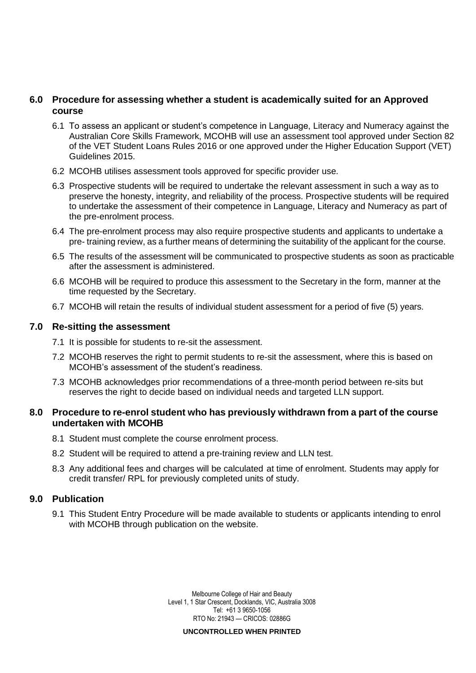#### **6.0 Procedure for assessing whether a student is academically suited for an Approved course**

- 6.1 To assess an applicant or student's competence in Language, Literacy and Numeracy against the Australian Core Skills Framework, MCOHB will use an assessment tool approved under Section 82 of the VET Student Loans Rules 2016 or one approved under the Higher Education Support (VET) Guidelines 2015.
- 6.2 MCOHB utilises assessment tools approved for specific provider use.
- 6.3 Prospective students will be required to undertake the relevant assessment in such a way as to preserve the honesty, integrity, and reliability of the process. Prospective students will be required to undertake the assessment of their competence in Language, Literacy and Numeracy as part of the pre-enrolment process.
- 6.4 The pre-enrolment process may also require prospective students and applicants to undertake a pre- training review, as a further means of determining the suitability of the applicant for the course.
- 6.5 The results of the assessment will be communicated to prospective students as soon as practicable after the assessment is administered.
- 6.6 MCOHB will be required to produce this assessment to the Secretary in the form, manner at the time requested by the Secretary.
- 6.7 MCOHB will retain the results of individual student assessment for a period of five (5) years.

#### **7.0 Re-sitting the assessment**

- 7.1 It is possible for students to re-sit the assessment.
- 7.2 MCOHB reserves the right to permit students to re-sit the assessment, where this is based on MCOHB's assessment of the student's readiness.
- 7.3 MCOHB acknowledges prior recommendations of a three-month period between re-sits but reserves the right to decide based on individual needs and targeted LLN support.

#### **8.0 Procedure to re-enrol student who has previously withdrawn from a part of the course undertaken with MCOHB**

- 8.1 Student must complete the course enrolment process.
- 8.2 Student will be required to attend a pre-training review and LLN test.
- 8.3 Any additional fees and charges will be calculated at time of enrolment. Students may apply for credit transfer/ RPL for previously completed units of study.

#### **9.0 Publication**

9.1 This Student Entry Procedure will be made available to students or applicants intending to enrol with MCOHB through publication on the website.

> Melbourne College of Hair and Beauty Level 1, 1 Star Crescent, Docklands, VIC, Australia 3008 Tel: +61 3 9650-1056 RTO No: 21943 — CRICOS: 02886G